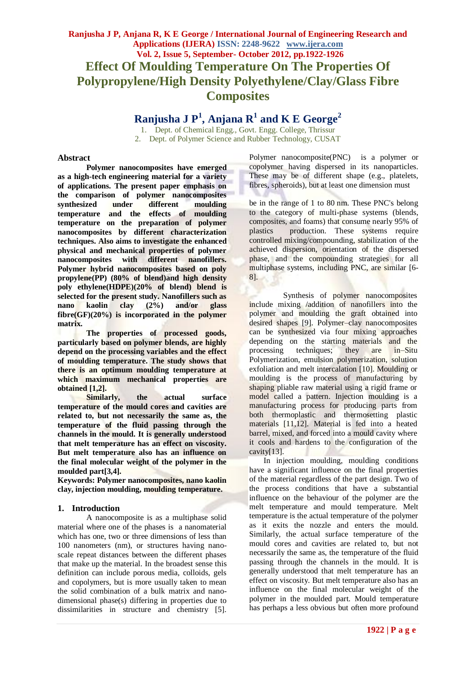# **Ranjusha J P, Anjana R, K E George / International Journal of Engineering Research and Applications (IJERA) ISSN: 2248-9622 www.ijera.com Vol. 2, Issue 5, September- October 2012, pp.1922-1926 Effect Of Moulding Temperature On The Properties Of Polypropylene/High Density Polyethylene/Clay/Glass Fibre Composites**

**Ranjusha J P<sup>1</sup> , Anjana R<sup>1</sup> and K E George<sup>2</sup>**

1. Dept. of Chemical Engg., Govt. Engg. College, Thrissur 2. Dept. of Polymer Science and Rubber Technology, CUSAT

#### **Abstract**

**Polymer nanocomposites have emerged as a high-tech engineering material for a variety of applications. The present paper emphasis on the comparison of polymer nanocomposites synthesized under different moulding temperature and the effects of moulding temperature on the preparation of polymer nanocomposites by different characterization techniques. Also aims to investigate the enhanced physical and mechanical properties of polymer nanocomposites with different nanofillers. Polymer hybrid nanocomposites based on poly propylene(PP) (80% of blend)and high density poly ethylene(HDPE)(20% of blend) blend is selected for the present study. Nanofillers such as<br>
nano** kaolin clav (2%) and/or glass **nano kaolin clay (2%) and/or glass fibre(GF)(20%) is incorporated in the polymer matrix.**

**The properties of processed goods, particularly based on polymer blends, are highly depend on the processing variables and the effect of moulding temperature. The study shows that there is an optimum moulding temperature at which maximum mechanical properties are obtained [1,2].**

**Similarly, the actual surface temperature of the mould cores and cavities are related to, but not necessarily the same as, the temperature of the fluid passing through the channels in the mould. It is generally understood that melt temperature has an effect on viscosity. But melt temperature also has an influence on the final molecular weight of the polymer in the moulded part[3,4].**

**Keywords: Polymer nanocomposites, nano kaolin clay, injection moulding, moulding temperature.**

### **1. Introduction**

A nanocomposite is as a multiphase solid material where one of the phases is a nanomaterial which has one, two or three dimensions of less than 100 nanometers (nm), or structures having nanoscale repeat distances between the different phases that make up the material. In the broadest sense this definition can include porous media, colloids, gels and copolymers, but is more usually taken to mean the solid combination of a bulk matrix and nanodimensional phase(s) differing in properties due to dissimilarities in structure and chemistry [5]. Polymer nanocomposite(PNC) is a polymer or copolymer having dispersed in its nanoparticles. These may be of different shape (e.g., platelets, fibres, spheroids), but at least one dimension must

be in the range of 1 to 80 nm. These PNC's belong to the category of multi-phase systems (blends, composites, and foams) that consume nearly 95% of plastics production. These systems require controlled mixing/compounding, stabilization of the achieved dispersion, orientation of the dispersed phase, and the compounding strategies for all multiphase systems, including PNC, are similar [6-8].

Synthesis of polymer nanocomposites include mixing /addition of nanofillers into the polymer and moulding the graft obtained into desired shapes [9]. Polymer–clay nanocomposites can be synthesized via four mixing approaches depending on the starting materials and the processing techniques; they are in–Situ Polymerization, emulsion polymerization, solution exfoliation and melt intercalation [10]. Moulding or moulding is the process of manufacturing by shaping pliable raw material using a rigid frame or model called a pattern. Injection moulding is a manufacturing process for producing parts from both thermoplastic and thermosetting plastic materials [11,12]. Material is fed into a heated barrel, mixed, and forced into a mould cavity where it cools and hardens to the configuration of the cavity[13].

In injection moulding, moulding conditions have a significant influence on the final properties of the material regardless of the part design. Two of the process conditions that have a substantial influence on the behaviour of the polymer are the melt temperature and mould temperature. Melt temperature is the actual temperature of the polymer as it exits the nozzle and enters the mould. Similarly, the actual surface temperature of the mould cores and cavities are related to, but not necessarily the same as, the temperature of the fluid passing through the channels in the mould. It is generally understood that melt temperature has an effect on viscosity. But melt temperature also has an influence on the final molecular weight of the polymer in the moulded part. Mould temperature has perhaps a less obvious but often more profound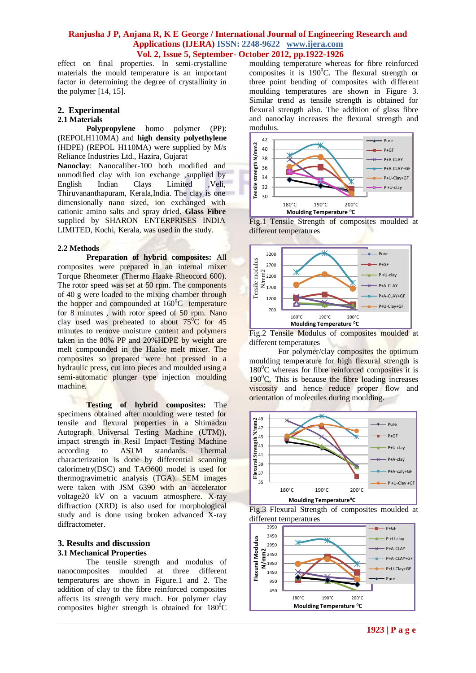effect on final properties. In semi-crystalline materials the mould temperature is an important factor in determining the degree of crystallinity in the polymer [14, 15].

# **2. Experimental**

**2.1 Materials homo** polymer (PP): (REPOLH110MA) and **high density polyethylene** (HDPE) (REPOL H110MA) were supplied by M/s Reliance Industries Ltd., Hazira, Gujarat

**Nanoclay**: Nanocaliber-100 both modified and unmodified clay with ion exchange ,supplied by English Indian Clays Limited ,Veli, Thiruvananthapuram, Kerala,India. The clay is one dimensionally nano sized, ion exchanged with cationic amino salts and spray dried. **Glass Fibre**  supplied by SHARON ENTERPRISES INDIA LIMITED, Kochi, Kerala, was used in the study.

#### **2.2 Methods**

**Preparation of hybrid composites:** All composites were prepared in an internal mixer Torque Rheometer (Thermo Haake Rheocord 600). The rotor speed was set at 50 rpm. The components of 40 g were loaded to the mixing chamber through the hopper and compounded at  $160^{\circ}$ C temperature for 8 minutes, with rotor speed of 50 rpm. Nano clay used was preheated to about  $75^{\circ}$ C for 45 minutes to remove moisture content and polymers taken in the 80% PP and 20%HDPE by weight are melt compounded in the Haake melt mixer. The composites so prepared were hot pressed in a hydraulic press, cut into pieces and moulded using a semi-automatic plunger type injection moulding machine.

**Testing of hybrid composites:** The specimens obtained after moulding were tested for tensile and flexural properties in a Shimadzu Autograph Universal Testing Machine (UTM)), impact strength in Resil Impact Testing Machine according to ASTM standards. Thermal characterization is done by differential scanning calorimetry(DSC) and TAӨ600 model is used for thermogravimetric analysis (TGA). SEM images were taken with JSM 6390 with an accelerator voltage20 kV on a vacuum atmosphere. X-ray diffraction (XRD) is also used for morphological study and is done using broken advanced X-ray diffractometer.

#### **3. Results and discussion 3.1 Mechanical Properties**

The tensile strength and modulus of nanocomposites moulded at three different temperatures are shown in Figure.1 and 2. The addition of clay to the fibre reinforced composites affects its strength very much. For polymer clay composites higher strength is obtained for  $180^{\circ}$ C moulding temperature whereas for fibre reinforced composites it is  $190^{\circ}$ C. The flexural strength or three point bending of composites with different moulding temperatures are shown in Figure 3. Similar trend as tensile strength is obtained for flexural strength also. The addition of glass fibre and nanoclay increases the flexural strength and modulus.







Fig.2 Tensile Modulus of composites moulded at different temperatures

For polymer/clay composites the optimum moulding temperature for high flexural strength is  $180^{\circ}$ C whereas for fibre reinforced composites it is  $190^{\circ}$ C. This is because the fibre loading increases viscosity and hence reduce proper flow and orientation of molecules during moulding.





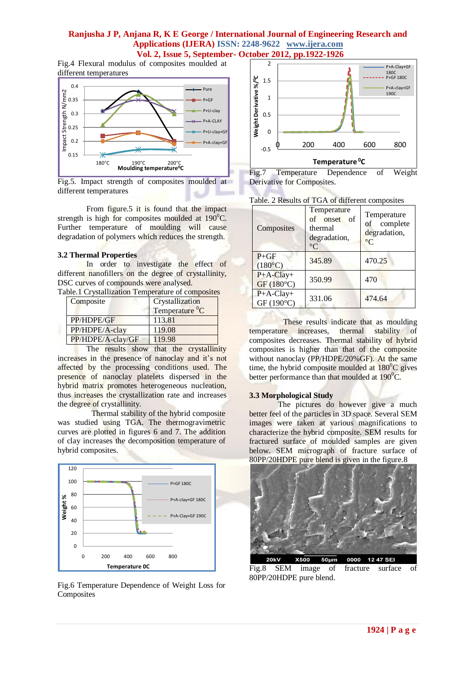Fig.4 Flexural modulus of composites moulded at different temperatures



Fig.5. Impact strength of composites moulded at different temperatures

From figure.5 it is found that the impact strength is high for composites moulded at  $190^{\circ}$ C. Further temperature of moulding will cause degradation of polymers which reduces the strength.

#### **3.2 Thermal Properties**

In order to investigate the effect of different nanofillers on the degree of crystallinity, DSC curves of compounds were analysed.

| Composite         | Crystallization            |  |
|-------------------|----------------------------|--|
|                   | Temperature <sup>0</sup> C |  |
| PP/HDPE/GF        | 113.81                     |  |
| PP/HDPE/A-clay    | 119.08                     |  |
| PP/HDPE/A-clay/GF | 119.98                     |  |

The results show that the crystallinity increases in the presence of nanoclay and it's not affected by the processing conditions used. The presence of nanoclay platelets dispersed in the hybrid matrix promotes heterogeneous nucleation, thus increases the crystallization rate and increases the degree of crystallinity.

Thermal stability of the hybrid composite was studied using TGA. The thermogravimetric curves are plotted in figures 6 and 7. The addition of clay increases the decomposition temperature of hybrid composites.



Fig.6 Temperature Dependence of Weight Loss for Composites



Fig.7 Temperature Dependence of Weight Derivative for Composites.

| Composites                 | $\omega$ results of $\bf{1.971}$ of university composites<br>Temperature<br>onset of<br>of<br>thermal<br>degradation,<br>$^{\circ}C$ | Temperature<br>complete<br>of<br>degradation,<br>$\rm ^{\circ}C$ |
|----------------------------|--------------------------------------------------------------------------------------------------------------------------------------|------------------------------------------------------------------|
| $P+GF$<br>$(180^{\circ}C)$ | 345.89                                                                                                                               | 470.25                                                           |
| $P+A-Clay+$<br>GF(180°C)   | 350.99                                                                                                                               | 470                                                              |
| $P+A-Clay+$<br>GF (190°C)  | 331.06                                                                                                                               | 474.64                                                           |

Table. 2 Results of TGA of different composites

These results indicate that as moulding temperature increases, thermal stability of composites decreases. Thermal stability of hybrid composites is higher than that of the composite without nanoclay (PP/HDPE/20%GF). At the same time, the hybrid composite moulded at  $180^{\circ}$ C gives better performance than that moulded at  $190^0C$ .

#### **3.3 Morphological Study**

The pictures do however give a much better feel of the particles in 3D space. Several SEM images were taken at various magnifications to characterize the hybrid composite. SEM results for fractured surface of moulded samples are given below. SEM micrograph of fracture surface of 80PP/20HDPE pure blend is given in the figure.8



Fig.8 SEM image of fracture surface of 80PP/20HDPE pure blend.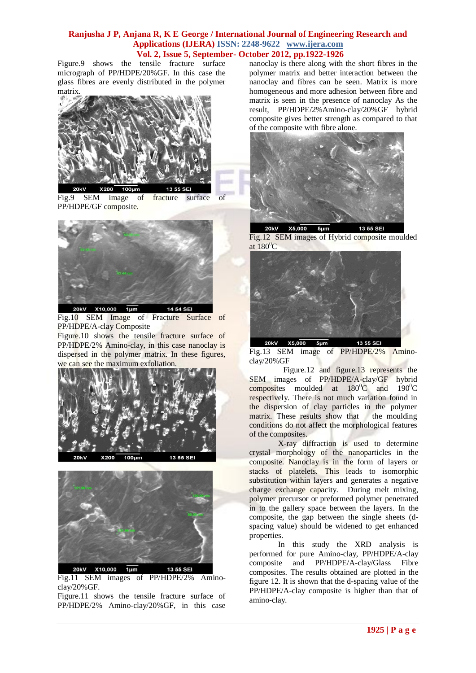Figure.9 shows the tensile fracture surface micrograph of PP/HDPE/20%GF. In this case the glass fibres are evenly distributed in the polymer matrix.



Fig.9 SEM image of fracture surface of PP/HDPE/GF composite.



Fig.10 SEM Image of Fracture Surface of PP/HDPE/A-clay Composite

Figure.10 shows the tensile fracture surface of PP/HDPE/2% Amino-clay, in this case nanoclay is dispersed in the polymer matrix. In these figures, we can see the maximum exfoliation.





Fig.11 SEM images of PP/HDPE/2% Aminoclay/20%GF.

Figure.11 shows the tensile fracture surface of PP/HDPE/2% Amino-clay/20%GF, in this case

nanoclay is there along with the short fibres in the polymer matrix and better interaction between the nanoclay and fibres can be seen. Matrix is more homogeneous and more adhesion between fibre and matrix is seen in the presence of nanoclay As the result, PP/HDPE/2%Amino-clay/20%GF hybrid composite gives better strength as compared to that of the composite with fibre alone.



X5,000 **20kV**  $5 \mu m$ 13 55 SEI Fig.12 SEM images of Hybrid composite moulded at  $180^0C$ 



Fig.13 SEM image of PP/HDPE/2% Aminoclay/20%GF

Figure.12 and figure.13 represents the SEM images of PP/HDPE/A-clay/GF hybrid composites moulded at  $180^{\circ}$ C and  $190^{\circ}$ C respectively. There is not much variation found in the dispersion of clay particles in the polymer matrix. These results show that the moulding conditions do not affect the morphological features of the composites.

X-ray diffraction is used to determine crystal morphology of the nanoparticles in the composite. Nanoclay is in the form of layers or stacks of platelets. This leads to isomorphic substitution within layers and generates a negative charge exchange capacity. During melt mixing, polymer precursor or preformed polymer penetrated in to the gallery space between the layers. In the composite, the gap between the single sheets (dspacing value) should be widened to get enhanced properties.

In this study the XRD analysis is performed for pure Amino-clay, PP/HDPE/A-clay composite and PP/HDPE/A-clay/Glass Fibre composites. The results obtained are plotted in the figure 12. It is shown that the d-spacing value of the PP/HDPE/A-clay composite is higher than that of amino-clay.